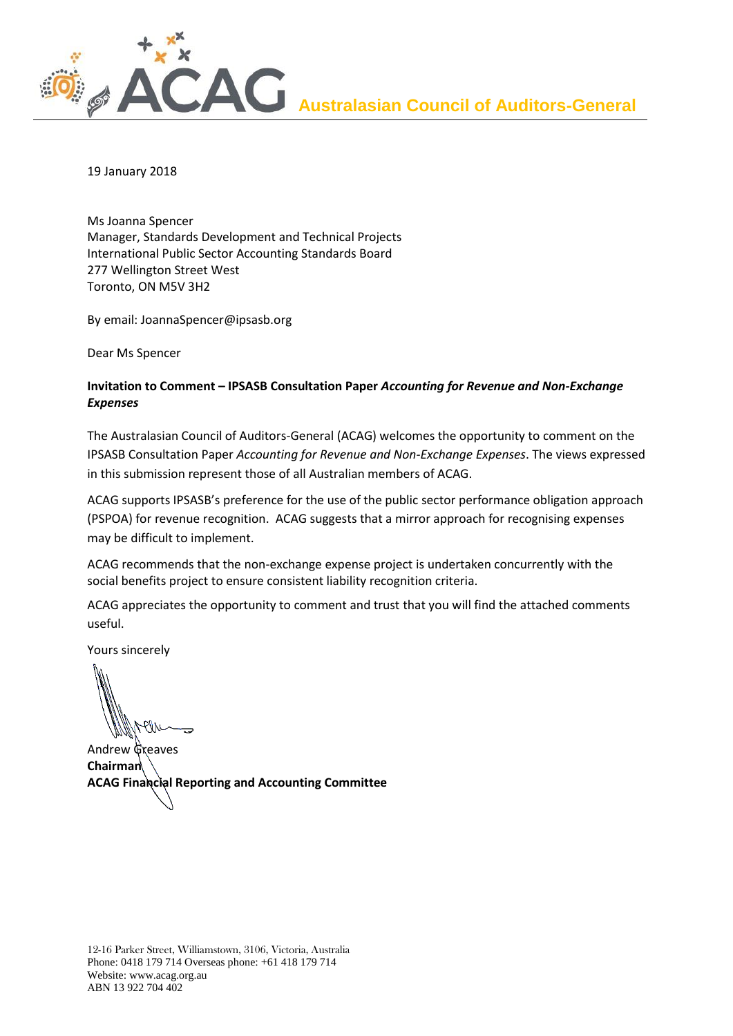

19 January 2018

Ms Joanna Spencer Manager, Standards Development and Technical Projects International Public Sector Accounting Standards Board 277 Wellington Street West Toronto, ON M5V 3H2

By email: JoannaSpencer@ipsasb.org

Dear Ms Spencer

# **Invitation to Comment – IPSASB Consultation Paper** *Accounting for Revenue and Non-Exchange Expenses*

The Australasian Council of Auditors-General (ACAG) welcomes the opportunity to comment on the IPSASB Consultation Paper *Accounting for Revenue and Non-Exchange Expenses*. The views expressed in this submission represent those of all Australian members of ACAG.

ACAG supports IPSASB's preference for the use of the public sector performance obligation approach (PSPOA) for revenue recognition. ACAG suggests that a mirror approach for recognising expenses may be difficult to implement.

ACAG recommends that the non-exchange expense project is undertaken concurrently with the social benefits project to ensure consistent liability recognition criteria.

ACAG appreciates the opportunity to comment and trust that you will find the attached comments useful.

Yours sincerely

Andrew Greaves **Chairman ACAG Financial Reporting and Accounting Committee**

12-16 Parker Street, Williamstown, 3106, Victoria, Australia Phone: 0418 179 714 Overseas phone: +61 418 179 714 Website: www.acag.org.au ABN 13 922 704 402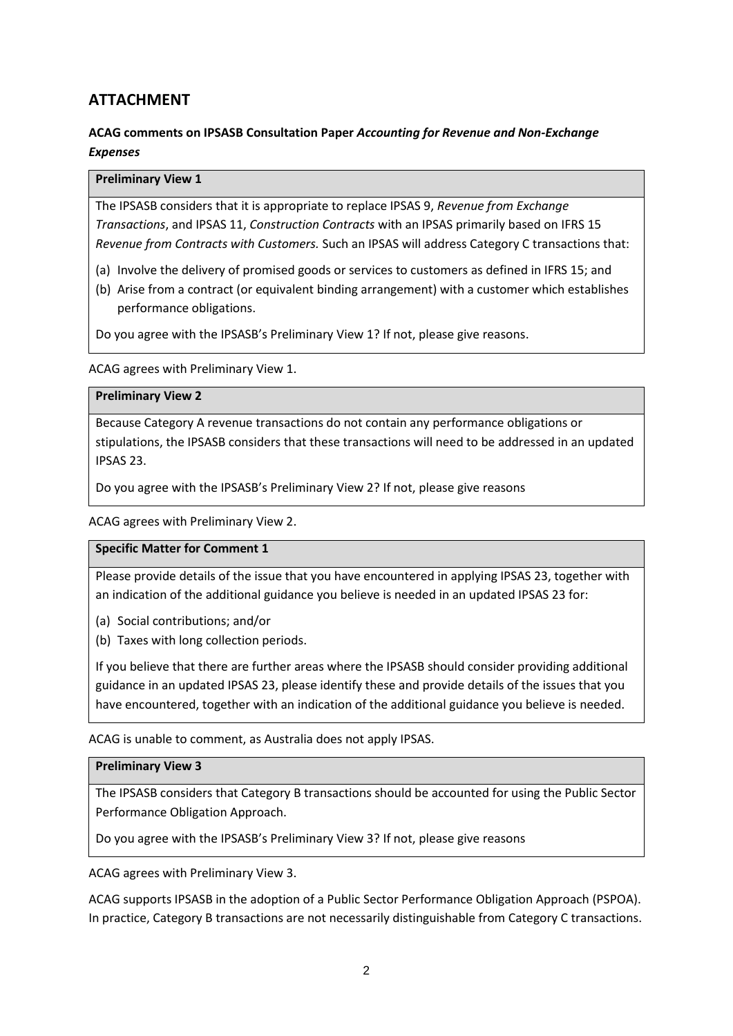# **ATTACHMENT**

# **ACAG comments on IPSASB Consultation Paper** *Accounting for Revenue and Non-Exchange Expenses*

#### **Preliminary View 1**

The IPSASB considers that it is appropriate to replace IPSAS 9, *Revenue from Exchange Transactions*, and IPSAS 11, *Construction Contracts* with an IPSAS primarily based on IFRS 15 *Revenue from Contracts with Customers.* Such an IPSAS will address Category C transactions that:

- (a) Involve the delivery of promised goods or services to customers as defined in IFRS 15; and
- (b) Arise from a contract (or equivalent binding arrangement) with a customer which establishes performance obligations.

Do you agree with the IPSASB's Preliminary View 1? If not, please give reasons.

ACAG agrees with Preliminary View 1.

#### **Preliminary View 2**

Because Category A revenue transactions do not contain any performance obligations or stipulations, the IPSASB considers that these transactions will need to be addressed in an updated IPSAS 23.

Do you agree with the IPSASB's Preliminary View 2? If not, please give reasons

ACAG agrees with Preliminary View 2.

#### **Specific Matter for Comment 1**

Please provide details of the issue that you have encountered in applying IPSAS 23, together with an indication of the additional guidance you believe is needed in an updated IPSAS 23 for:

- (a) Social contributions; and/or
- (b) Taxes with long collection periods.

If you believe that there are further areas where the IPSASB should consider providing additional guidance in an updated IPSAS 23, please identify these and provide details of the issues that you have encountered, together with an indication of the additional guidance you believe is needed.

ACAG is unable to comment, as Australia does not apply IPSAS.

#### **Preliminary View 3**

The IPSASB considers that Category B transactions should be accounted for using the Public Sector Performance Obligation Approach.

Do you agree with the IPSASB's Preliminary View 3? If not, please give reasons

ACAG agrees with Preliminary View 3.

ACAG supports IPSASB in the adoption of a Public Sector Performance Obligation Approach (PSPOA). In practice, Category B transactions are not necessarily distinguishable from Category C transactions.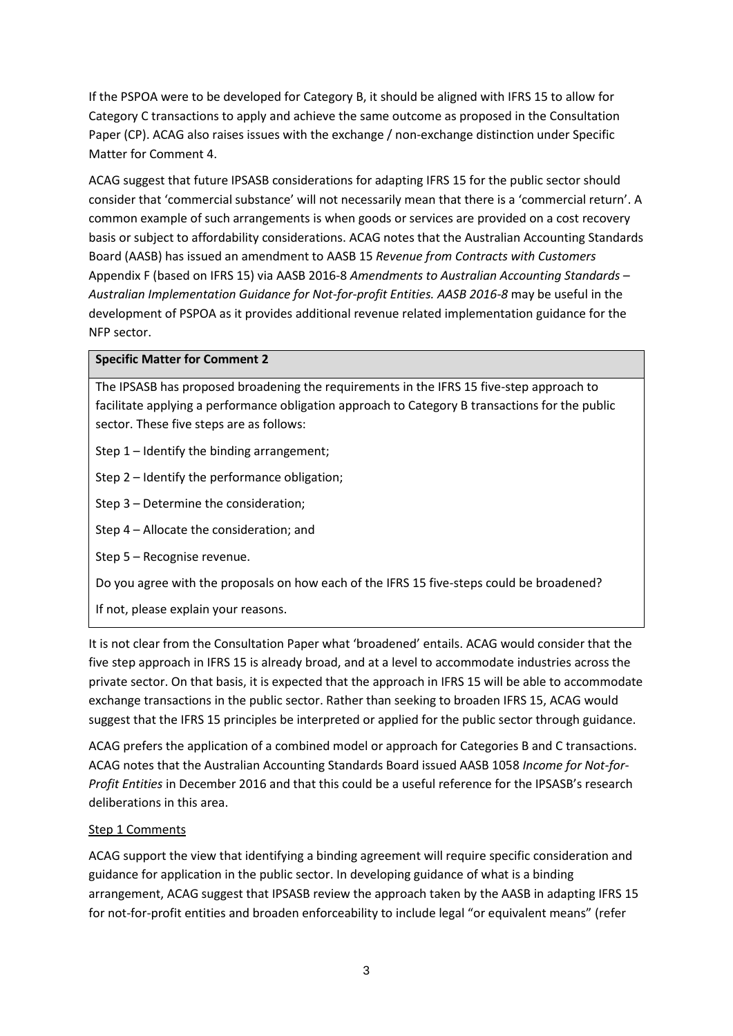If the PSPOA were to be developed for Category B, it should be aligned with IFRS 15 to allow for Category C transactions to apply and achieve the same outcome as proposed in the Consultation Paper (CP). ACAG also raises issues with the exchange / non-exchange distinction under Specific Matter for Comment 4.

ACAG suggest that future IPSASB considerations for adapting IFRS 15 for the public sector should consider that 'commercial substance' will not necessarily mean that there is a 'commercial return'. A common example of such arrangements is when goods or services are provided on a cost recovery basis or subject to affordability considerations. ACAG notes that the Australian Accounting Standards Board (AASB) has issued an amendment to AASB 15 *Revenue from Contracts with Customers* Appendix F (based on IFRS 15) via AASB 2016-8 *Amendments to Australian Accounting Standards – Australian Implementation Guidance for Not-for-profit Entities. AASB 2016-8* may be useful in the development of PSPOA as it provides additional revenue related implementation guidance for the NFP sector.

# **Specific Matter for Comment 2**

The IPSASB has proposed broadening the requirements in the IFRS 15 five-step approach to facilitate applying a performance obligation approach to Category B transactions for the public sector. These five steps are as follows:

Step 1 – Identify the binding arrangement;

Step 2 – Identify the performance obligation;

Step 3 – Determine the consideration;

Step 4 – Allocate the consideration; and

Step 5 – Recognise revenue.

Do you agree with the proposals on how each of the IFRS 15 five-steps could be broadened?

If not, please explain your reasons.

It is not clear from the Consultation Paper what 'broadened' entails. ACAG would consider that the five step approach in IFRS 15 is already broad, and at a level to accommodate industries across the private sector. On that basis, it is expected that the approach in IFRS 15 will be able to accommodate exchange transactions in the public sector. Rather than seeking to broaden IFRS 15, ACAG would suggest that the IFRS 15 principles be interpreted or applied for the public sector through guidance.

ACAG prefers the application of a combined model or approach for Categories B and C transactions. ACAG notes that the Australian Accounting Standards Board issued AASB 1058 *Income for Not-for-Profit Entities* in December 2016 and that this could be a useful reference for the IPSASB's research deliberations in this area.

#### Step 1 Comments

ACAG support the view that identifying a binding agreement will require specific consideration and guidance for application in the public sector. In developing guidance of what is a binding arrangement, ACAG suggest that IPSASB review the approach taken by the AASB in adapting IFRS 15 for not-for-profit entities and broaden enforceability to include legal "or equivalent means" (refer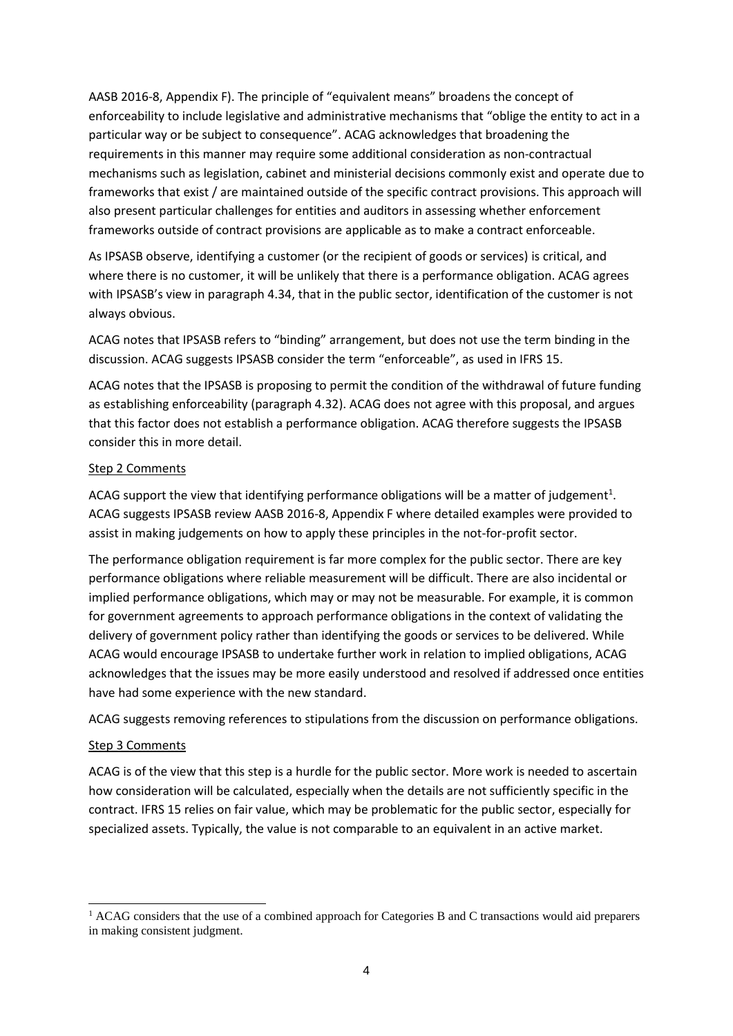AASB 2016-8, Appendix F). The principle of "equivalent means" broadens the concept of enforceability to include legislative and administrative mechanisms that "oblige the entity to act in a particular way or be subject to consequence". ACAG acknowledges that broadening the requirements in this manner may require some additional consideration as non-contractual mechanisms such as legislation, cabinet and ministerial decisions commonly exist and operate due to frameworks that exist / are maintained outside of the specific contract provisions. This approach will also present particular challenges for entities and auditors in assessing whether enforcement frameworks outside of contract provisions are applicable as to make a contract enforceable.

As IPSASB observe, identifying a customer (or the recipient of goods or services) is critical, and where there is no customer, it will be unlikely that there is a performance obligation. ACAG agrees with IPSASB's view in paragraph 4.34, that in the public sector, identification of the customer is not always obvious.

ACAG notes that IPSASB refers to "binding" arrangement, but does not use the term binding in the discussion. ACAG suggests IPSASB consider the term "enforceable", as used in IFRS 15.

ACAG notes that the IPSASB is proposing to permit the condition of the withdrawal of future funding as establishing enforceability (paragraph 4.32). ACAG does not agree with this proposal, and argues that this factor does not establish a performance obligation. ACAG therefore suggests the IPSASB consider this in more detail.

# Step 2 Comments

ACAG support the view that identifying performance obligations will be a matter of judgement<sup>1</sup>. ACAG suggests IPSASB review AASB 2016-8, Appendix F where detailed examples were provided to assist in making judgements on how to apply these principles in the not-for-profit sector.

The performance obligation requirement is far more complex for the public sector. There are key performance obligations where reliable measurement will be difficult. There are also incidental or implied performance obligations, which may or may not be measurable. For example, it is common for government agreements to approach performance obligations in the context of validating the delivery of government policy rather than identifying the goods or services to be delivered. While ACAG would encourage IPSASB to undertake further work in relation to implied obligations, ACAG acknowledges that the issues may be more easily understood and resolved if addressed once entities have had some experience with the new standard.

ACAG suggests removing references to stipulations from the discussion on performance obligations.

#### Step 3 Comments

-

ACAG is of the view that this step is a hurdle for the public sector. More work is needed to ascertain how consideration will be calculated, especially when the details are not sufficiently specific in the contract. IFRS 15 relies on fair value, which may be problematic for the public sector, especially for specialized assets. Typically, the value is not comparable to an equivalent in an active market.

<sup>&</sup>lt;sup>1</sup> ACAG considers that the use of a combined approach for Categories B and C transactions would aid preparers in making consistent judgment.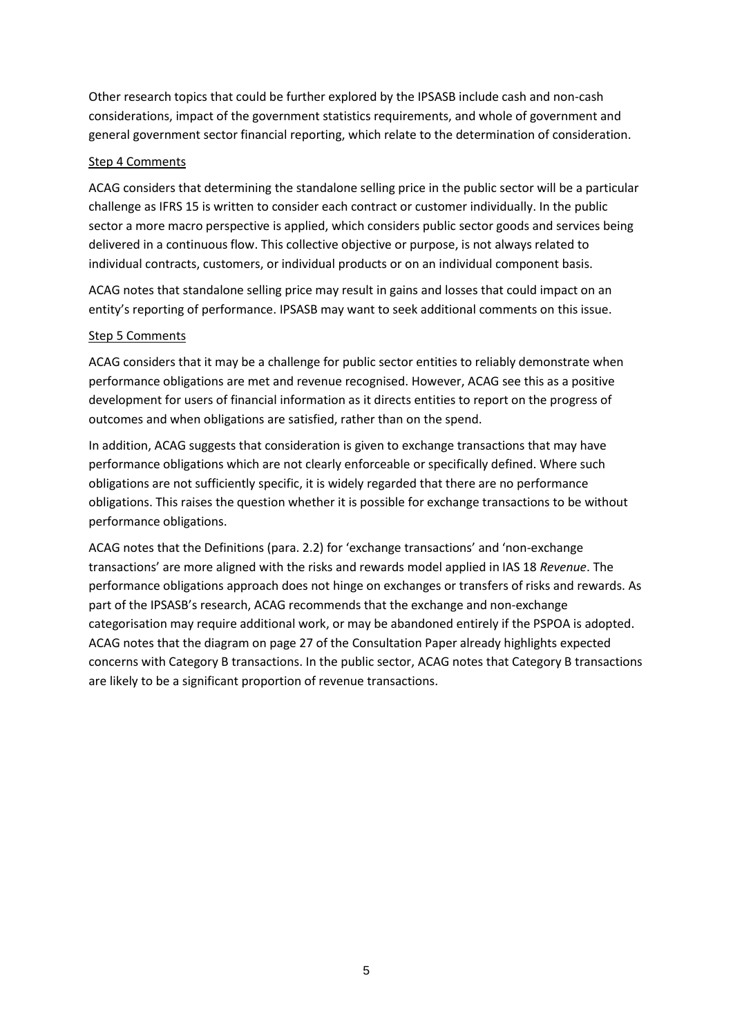Other research topics that could be further explored by the IPSASB include cash and non-cash considerations, impact of the government statistics requirements, and whole of government and general government sector financial reporting, which relate to the determination of consideration.

### Step 4 Comments

ACAG considers that determining the standalone selling price in the public sector will be a particular challenge as IFRS 15 is written to consider each contract or customer individually. In the public sector a more macro perspective is applied, which considers public sector goods and services being delivered in a continuous flow. This collective objective or purpose, is not always related to individual contracts, customers, or individual products or on an individual component basis.

ACAG notes that standalone selling price may result in gains and losses that could impact on an entity's reporting of performance. IPSASB may want to seek additional comments on this issue.

# Step 5 Comments

ACAG considers that it may be a challenge for public sector entities to reliably demonstrate when performance obligations are met and revenue recognised. However, ACAG see this as a positive development for users of financial information as it directs entities to report on the progress of outcomes and when obligations are satisfied, rather than on the spend.

In addition, ACAG suggests that consideration is given to exchange transactions that may have performance obligations which are not clearly enforceable or specifically defined. Where such obligations are not sufficiently specific, it is widely regarded that there are no performance obligations. This raises the question whether it is possible for exchange transactions to be without performance obligations.

ACAG notes that the Definitions (para. 2.2) for 'exchange transactions' and 'non-exchange transactions' are more aligned with the risks and rewards model applied in IAS 18 *Revenue*. The performance obligations approach does not hinge on exchanges or transfers of risks and rewards. As part of the IPSASB's research, ACAG recommends that the exchange and non-exchange categorisation may require additional work, or may be abandoned entirely if the PSPOA is adopted. ACAG notes that the diagram on page 27 of the Consultation Paper already highlights expected concerns with Category B transactions. In the public sector, ACAG notes that Category B transactions are likely to be a significant proportion of revenue transactions.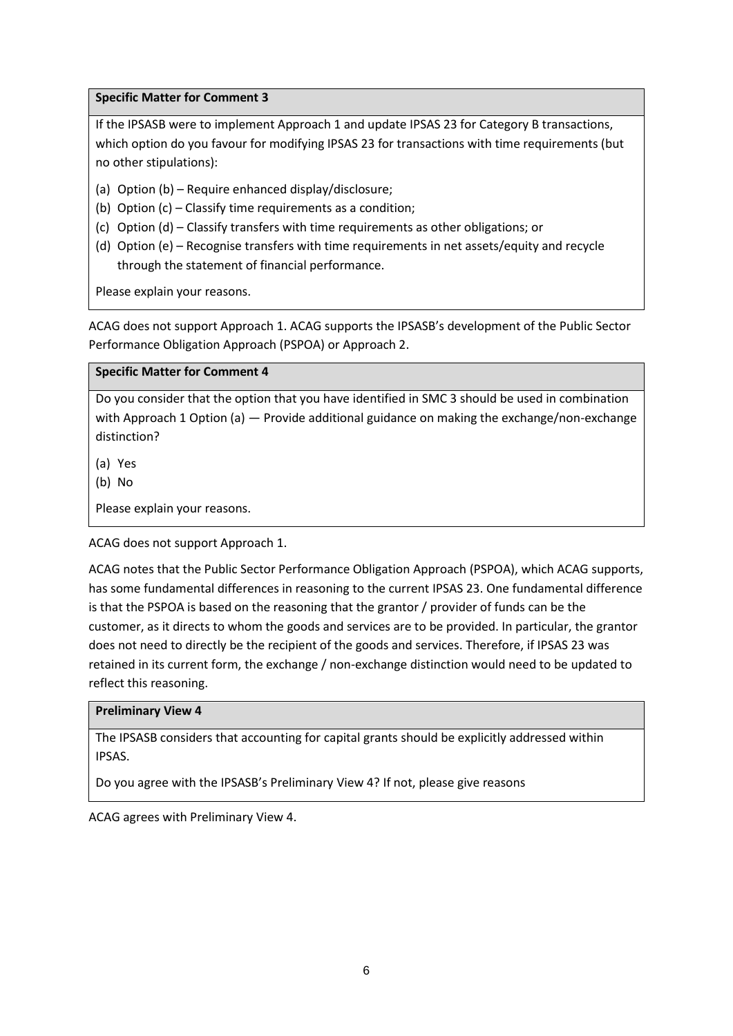#### **Specific Matter for Comment 3**

If the IPSASB were to implement Approach 1 and update IPSAS 23 for Category B transactions, which option do you favour for modifying IPSAS 23 for transactions with time requirements (but no other stipulations):

- (a) Option (b) Require enhanced display/disclosure;
- (b) Option (c) Classify time requirements as a condition;
- (c) Option (d) Classify transfers with time requirements as other obligations; or
- (d) Option (e) Recognise transfers with time requirements in net assets/equity and recycle through the statement of financial performance.

Please explain your reasons.

ACAG does not support Approach 1. ACAG supports the IPSASB's development of the Public Sector Performance Obligation Approach (PSPOA) or Approach 2.

# **Specific Matter for Comment 4**

Do you consider that the option that you have identified in SMC 3 should be used in combination with Approach 1 Option (a) — Provide additional guidance on making the exchange/non-exchange distinction?

(a) Yes

(b) No

Please explain your reasons.

ACAG does not support Approach 1.

ACAG notes that the Public Sector Performance Obligation Approach (PSPOA), which ACAG supports, has some fundamental differences in reasoning to the current IPSAS 23. One fundamental difference is that the PSPOA is based on the reasoning that the grantor / provider of funds can be the customer, as it directs to whom the goods and services are to be provided. In particular, the grantor does not need to directly be the recipient of the goods and services. Therefore, if IPSAS 23 was retained in its current form, the exchange / non-exchange distinction would need to be updated to reflect this reasoning.

#### **Preliminary View 4**

The IPSASB considers that accounting for capital grants should be explicitly addressed within IPSAS.

Do you agree with the IPSASB's Preliminary View 4? If not, please give reasons

ACAG agrees with Preliminary View 4.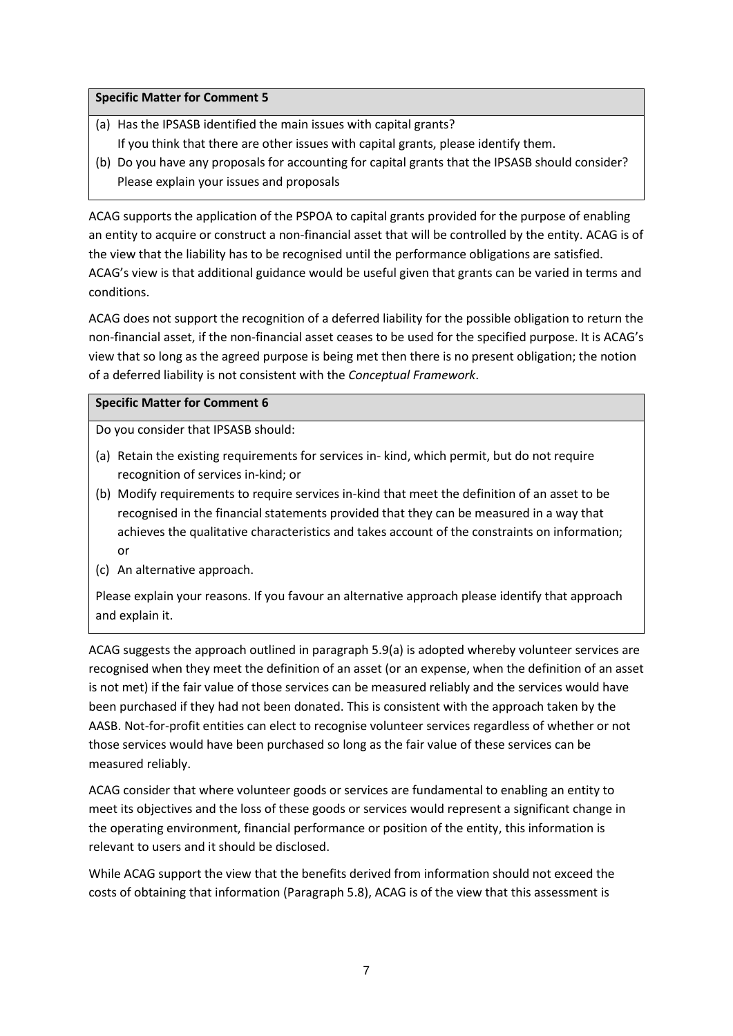# **Specific Matter for Comment 5**

- (a) Has the IPSASB identified the main issues with capital grants? If you think that there are other issues with capital grants, please identify them.
- (b) Do you have any proposals for accounting for capital grants that the IPSASB should consider? Please explain your issues and proposals

ACAG supports the application of the PSPOA to capital grants provided for the purpose of enabling an entity to acquire or construct a non-financial asset that will be controlled by the entity. ACAG is of the view that the liability has to be recognised until the performance obligations are satisfied. ACAG's view is that additional guidance would be useful given that grants can be varied in terms and conditions.

ACAG does not support the recognition of a deferred liability for the possible obligation to return the non-financial asset, if the non-financial asset ceases to be used for the specified purpose. It is ACAG's view that so long as the agreed purpose is being met then there is no present obligation; the notion of a deferred liability is not consistent with the *Conceptual Framework*.

# **Specific Matter for Comment 6**

Do you consider that IPSASB should:

- (a) Retain the existing requirements for services in- kind, which permit, but do not require recognition of services in-kind; or
- (b) Modify requirements to require services in-kind that meet the definition of an asset to be recognised in the financial statements provided that they can be measured in a way that achieves the qualitative characteristics and takes account of the constraints on information; or
- (c) An alternative approach.

Please explain your reasons. If you favour an alternative approach please identify that approach and explain it.

ACAG suggests the approach outlined in paragraph 5.9(a) is adopted whereby volunteer services are recognised when they meet the definition of an asset (or an expense, when the definition of an asset is not met) if the fair value of those services can be measured reliably and the services would have been purchased if they had not been donated. This is consistent with the approach taken by the AASB. Not-for-profit entities can elect to recognise volunteer services regardless of whether or not those services would have been purchased so long as the fair value of these services can be measured reliably.

ACAG consider that where volunteer goods or services are fundamental to enabling an entity to meet its objectives and the loss of these goods or services would represent a significant change in the operating environment, financial performance or position of the entity, this information is relevant to users and it should be disclosed.

While ACAG support the view that the benefits derived from information should not exceed the costs of obtaining that information (Paragraph 5.8), ACAG is of the view that this assessment is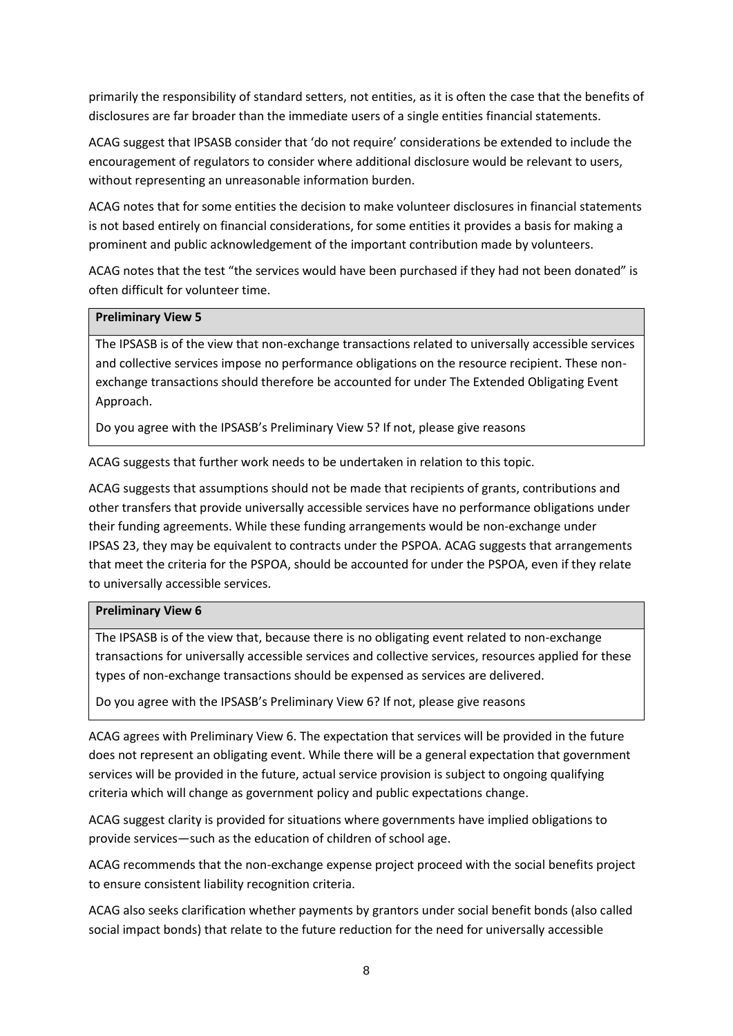primarily the responsibility of standard setters, not entities, as it is often the case that the benefits of disclosures are far broader than the immediate users of a single entities financial statements.

ACAG suggest that IPSASB consider that 'do not require' considerations be extended to include the encouragement of regulators to consider where additional disclosure would be relevant to users, without representing an unreasonable information burden.

ACAG notes that for some entities the decision to make volunteer disclosures in financial statements is not based entirely on financial considerations, for some entities it provides a basis for making a prominent and public acknowledgement of the important contribution made by volunteers.

ACAG notes that the test "the services would have been purchased if they had not been donated" is often difficult for volunteer time.

#### **Preliminary View 5**

The IPSASB is of the view that non-exchange transactions related to universally accessible services and collective services impose no performance obligations on the resource recipient. These nonexchange transactions should therefore be accounted for under The Extended Obligating Event Approach.

Do you agree with the IPSASB's Preliminary View 5? If not, please give reasons

ACAG suggests that further work needs to be undertaken in relation to this topic.

ACAG suggests that assumptions should not be made that recipients of grants, contributions and other transfers that provide universally accessible services have no performance obligations under their funding agreements. While these funding arrangements would be non-exchange under IPSAS 23, they may be equivalent to contracts under the PSPOA. ACAG suggests that arrangements that meet the criteria for the PSPOA, should be accounted for under the PSPOA, even if they relate to universally accessible services.

#### **Preliminary View 6**

The IPSASB is of the view that, because there is no obligating event related to non-exchange transactions for universally accessible services and collective services, resources applied for these types of non-exchange transactions should be expensed as services are delivered.

Do you agree with the IPSASB's Preliminary View 6? If not, please give reasons

ACAG agrees with Preliminary View 6. The expectation that services will be provided in the future does not represent an obligating event. While there will be a general expectation that government services will be provided in the future, actual service provision is subject to ongoing qualifying criteria which will change as government policy and public expectations change.

ACAG suggest clarity is provided for situations where governments have implied obligations to provide services—such as the education of children of school age.

ACAG recommends that the non-exchange expense project proceed with the social benefits project to ensure consistent liability recognition criteria.

ACAG also seeks clarification whether payments by grantors under social benefit bonds (also called social impact bonds) that relate to the future reduction for the need for universally accessible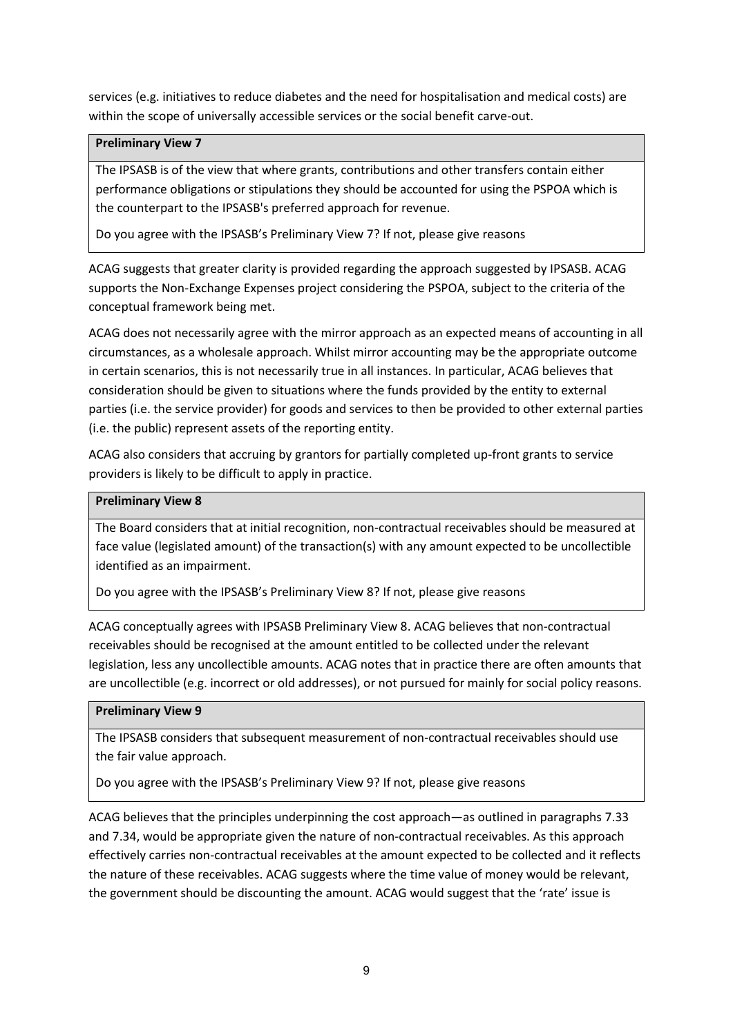services (e.g. initiatives to reduce diabetes and the need for hospitalisation and medical costs) are within the scope of universally accessible services or the social benefit carve-out.

# **Preliminary View 7**

The IPSASB is of the view that where grants, contributions and other transfers contain either performance obligations or stipulations they should be accounted for using the PSPOA which is the counterpart to the IPSASB's preferred approach for revenue.

Do you agree with the IPSASB's Preliminary View 7? If not, please give reasons

ACAG suggests that greater clarity is provided regarding the approach suggested by IPSASB. ACAG supports the Non-Exchange Expenses project considering the PSPOA, subject to the criteria of the conceptual framework being met.

ACAG does not necessarily agree with the mirror approach as an expected means of accounting in all circumstances, as a wholesale approach. Whilst mirror accounting may be the appropriate outcome in certain scenarios, this is not necessarily true in all instances. In particular, ACAG believes that consideration should be given to situations where the funds provided by the entity to external parties (i.e. the service provider) for goods and services to then be provided to other external parties (i.e. the public) represent assets of the reporting entity.

ACAG also considers that accruing by grantors for partially completed up-front grants to service providers is likely to be difficult to apply in practice.

# **Preliminary View 8**

The Board considers that at initial recognition, non-contractual receivables should be measured at face value (legislated amount) of the transaction(s) with any amount expected to be uncollectible identified as an impairment.

Do you agree with the IPSASB's Preliminary View 8? If not, please give reasons

ACAG conceptually agrees with IPSASB Preliminary View 8. ACAG believes that non-contractual receivables should be recognised at the amount entitled to be collected under the relevant legislation, less any uncollectible amounts. ACAG notes that in practice there are often amounts that are uncollectible (e.g. incorrect or old addresses), or not pursued for mainly for social policy reasons.

#### **Preliminary View 9**

The IPSASB considers that subsequent measurement of non-contractual receivables should use the fair value approach.

Do you agree with the IPSASB's Preliminary View 9? If not, please give reasons

ACAG believes that the principles underpinning the cost approach—as outlined in paragraphs 7.33 and 7.34, would be appropriate given the nature of non-contractual receivables. As this approach effectively carries non-contractual receivables at the amount expected to be collected and it reflects the nature of these receivables. ACAG suggests where the time value of money would be relevant, the government should be discounting the amount. ACAG would suggest that the 'rate' issue is